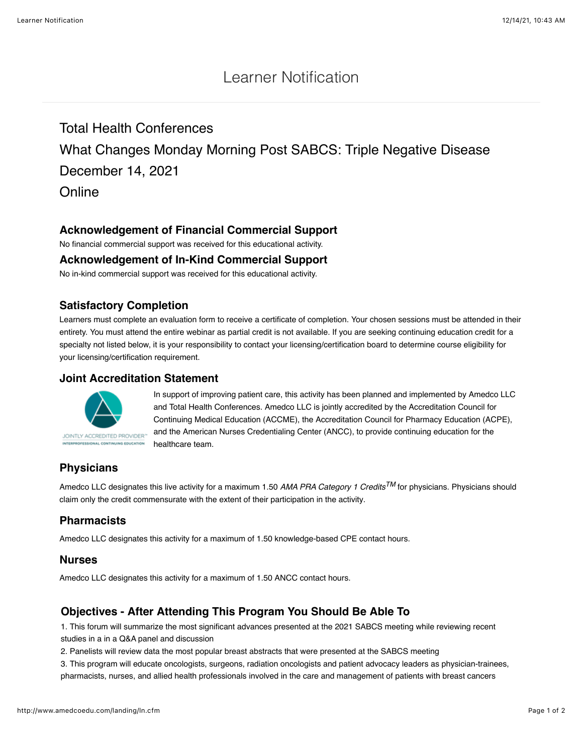# Learner Notification

## Total Health Conferences

# What Changes Monday Morning Post SABCS: Triple Negative Disease December 14, 2021

**Online** 

## **Acknowledgement of Financial Commercial Support**

No financial commercial support was received for this educational activity.

### **Acknowledgement of In-Kind Commercial Support**

No in-kind commercial support was received for this educational activity.

### **Satisfactory Completion**

Learners must complete an evaluation form to receive a certificate of completion. Your chosen sessions must be attended in their entirety. You must attend the entire webinar as partial credit is not available. If you are seeking continuing education credit for a specialty not listed below, it is your responsibility to contact your licensing/certification board to determine course eligibility for your licensing/certification requirement.

### **Joint Accreditation Statement**



In support of improving patient care, this activity has been planned and implemented by Amedco LLC and Total Health Conferences. Amedco LLC is jointly accredited by the Accreditation Council for Continuing Medical Education (ACCME), the Accreditation Council for Pharmacy Education (ACPE), and the American Nurses Credentialing Center (ANCC), to provide continuing education for the healthcare team.

# **Physicians**

Amedco LLC designates this live activity for a maximum 1.50 *AMA PRA Category 1 CreditsTM* for physicians. Physicians should claim only the credit commensurate with the extent of their participation in the activity.

# **Pharmacists**

Amedco LLC designates this activity for a maximum of 1.50 knowledge-based CPE contact hours.

### **Nurses**

Amedco LLC designates this activity for a maximum of 1.50 ANCC contact hours.

# **Objectives - After Attending This Program You Should Be Able To**

1. This forum will summarize the most significant advances presented at the 2021 SABCS meeting while reviewing recent studies in a in a Q&A panel and discussion

2. Panelists will review data the most popular breast abstracts that were presented at the SABCS meeting

3. This program will educate oncologists, surgeons, radiation oncologists and patient advocacy leaders as physician-trainees, pharmacists, nurses, and allied health professionals involved in the care and management of patients with breast cancers